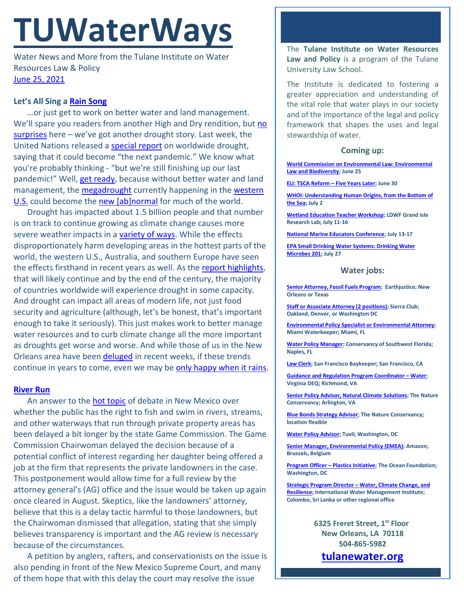# **TUWaterWays**

Water News and More from the Tulane Institute on Water Resources Law & Policy [June 25, 2021](https://thisdayinwaterhistory.wordpress.com/)

# **Let's All Sing a [Rain Song](https://www.youtube.com/watch?v=CxEu0QN6nzk)**

…or just get to work on better water and land management. We'll spare you readers from another High and Dry rendition, but no [surprises](https://www.youtube.com/watch?v=u5CVsCnxyXg) here - we've got another drought story. Last week, the United Nations released a [special report](https://www.undrr.org/publication/gar-special-report-drought-2021) on worldwide drought, saying that it could become "the next pandemic." We know what you're probably thinking - "but we're still finishing up our last pandemic!" Well, [get ready,](https://www.youtube.com/watch?v=PV97roslmt0) because without better water and land management, the **megadrought** currently happening in the **western** [U.S.](https://weather.com/forecast/regional/news/2021-06-23-almost-entire-west-in-drought-this-summer-2021) could become the [new \[ab\]normal](https://www.youtube.com/watch?v=4yn98ht1ViU) for much of the world.

Drought has impacted about 1.5 billion people and that number is on track to continue growing as climate change causes more severe weather impacts in a [variety of ways.](https://www.epa.gov/climate-indicators/weather-climate) While the effects disproportionately harm developing areas in the hottest parts of the world, the western U.S., Australia, and southern Europe have seen the effects firsthand in recent years as well. As the [report highlights,](https://www.theguardian.com/environment/2021/jun/17/the-next-pandemic-drought-is-a-hidden-global-crisis-un-says) that will likely continue and by the end of the century, the majority of countries worldwide will experience drought in some capacity. And drought can impact all areas of modern life, not just food security and agriculture (although, let's be honest, that's important enough to take it seriously). This just makes work to better manage water resources and to curb climate change all the more important as droughts get worse and worse. And while those of us in the New Orleans area have been [deluged](https://www.nola.com/news/weather/article_d2653886-d2da-11eb-beec-6771a2c7f461.html) in recent weeks, if these trends continue in years to come, even we may be [only happy when it rains.](https://www.youtube.com/watch?v=GpBFOJ3R0M4)

## **[River Run](https://www.youtube.com/watch?v=rydhookly58)**

An answer to the [hot topic](https://www.youtube.com/watch?v=0idmTWxFs1A) of debate in New Mexico over whether the public has the right to fish and swim in rivers, streams, and other waterways that run through private property areas has been delayed a bit longer by the state Game Commission. The Game Commission Chairwoman delayed the decision because of a potential conflict of interest regarding her daughter being offered a job at the firm that represents the private landowners in the case. This postponement would allow time for a full review by the attorney general's (AG) office and the issue would be taken up again once cleared in August. Skeptics, like the landowners' attorney, believe that this is a delay tactic harmful to those landowners, but the Chairwoman dismissed that allegation, stating that she simply believes transparency is important and the AG review is necessary because of the circumstances.

A petition by anglers, rafters, and conservationists on the issue is also pending in front of the New Mexico Supreme Court, and many of them hope that with this delay the court may resolve the issue

The **Tulane Institute on Water Resources Law and Policy** is a program of the Tulane University Law School.

The Institute is dedicated to fostering a greater appreciation and understanding of the vital role that water plays in our society and of the importance of the legal and policy framework that shapes the uses and legal stewardship of water.

## **Coming up:**

**[World Commission on Environmental Law: Environmental](https://www.iucn.org/commissions/world-commission-environmental-law/resources/webinars/environmental-law-and-policy-webinars)  [Law and Biodiversity;](https://www.iucn.org/commissions/world-commission-environmental-law/resources/webinars/environmental-law-and-policy-webinars) June 25**

**[ELI: TSCA Reform –](https://www.eli.org/events/tsca-reform-five-years-later) Five Years Later; June 30**

**[WHOI: Understanding Human Origins, from the Bottom of](https://www.whoi.edu/event/friday-evening-lecture-series-segal-lecture-understanding-human-origins-from-the-bottom-of-the-sea/)  [the Sea;](https://www.whoi.edu/event/friday-evening-lecture-series-segal-lecture-understanding-human-origins-from-the-bottom-of-the-sea/) July 2**

**[Wetland Education Teacher Workshop;](https://www.laseagrant.org/event/ldwf-wetshop/?instance_id=1086) LDWF Grand Isle Research Lab; July 11-16**

**[National Marine Educators Conference;](https://www.marine-ed.org/conference/2021) July 13-17**

**[EPA Small Drinking Water Systems: Drinking Water](https://www.epa.gov/water-research/small-drinking-water-systems-webinar-series)  [Microbes 201;](https://www.epa.gov/water-research/small-drinking-water-systems-webinar-series) July 27**

### **Water jobs:**

**[Senior Attorney, Fossil Fuels Program;](https://earthjustice.org/about/jobs/40606/senior-attorney-fossil-fuels-program) Earthjustice; New Orleans or Texas**

**[Staff or Associate Attorney \(2 positions\);](https://phf.tbe.taleo.net/phf01/ats/careers/v2/viewRequisition?org=SIERRACLUB&cws=39&rid=1738) Sierra Club; Oakland, Denver, or Washington DC**

**[Environmental Policy Specialist or Environmental Attorney;](https://www.miamiwaterkeeper.org/environmental_policy_specialist) Miami Waterkeeper; Miami, FL**

**[Water Policy Manager;](https://conservancy.topdoghrrecruiting.com/job/272081/water-policy-manager) Conservancy of Southwest Florida; Naples, FL**

**[Law Clerk;](https://baykeeper.org/about-baykeeper/jobs-and-internships#clerk) San Francisco Baykeeper; San Francisco, CA**

**[Guidance and Regulation Program Coordinator –](https://virginiajobs.peopleadmin.com/postings/228129) Water; Virginia DEQ; Richmond, VA**

**[Senior Policy Advisor, Natural Climate Solutions;](https://careers.nature.org/psc/tnccareers/APPLICANT/APPL/c/HRS_HRAM_FL.HRS_CG_SEARCH_FL.GBL?Page=HRS_APP_JBPST_FL&Action=U&FOCUS=Applicant&SiteId=1&JobOpeningId=49844&PostingSeq=1&PortalActualURL=https%3a%2f%2fcareers.nature.org%2fpsc%2ftnccareers%2fAPPLICANT%2fAPPL%2fc%2fHRS_HRAM_FL.HRS_CG_SEARCH_FL.GBL%3fPage%3dHRS_APP_JBPST_FL%26Action%3dU%26FOCUS%3dApplicant%26SiteId%3d1%26JobOpeningId%3d49844%26PostingSeq%3d1&PortalRegistryName=APPLICANT&PortalServletURI=https%3a%2f%2fcareers.nature.org%2fpsp%2ftnccareers%2f&PortalURI=https%3a%2f%2fcareers.nature.org%2fpsc%2ftnccareers%2f&PortalHostNode=APPL&NoCrumbs=yes&PortalKeyStruct=yes) The Nature Conservancy; Arlington, VA**

**[Blue Bonds Strategy Advisor;](https://careers.nature.org/psc/tnccareers/APPLICANT/APPL/c/HRS_HRAM_FL.HRS_CG_SEARCH_FL.GBL?Page=HRS_APP_JBPST_FL&Action=U&FOCUS=Applicant&SiteId=1&JobOpeningId=49869&PostingSeq=1&PortalActualURL=https%3a%2f%2fcareers.nature.org%2fpsc%2ftnccareers%2fAPPLICANT%2fAPPL%2fc%2fHRS_HRAM_FL.HRS_CG_SEARCH_FL.GBL%3fPage%3dHRS_APP_JBPST_FL%26Action%3dU%26FOCUS%3dApplicant%26SiteId%3d1%26JobOpeningId%3d49869%26PostingSeq%3d1&PortalRegistryName=APPLICANT&PortalServletURI=https%3a%2f%2fcareers.nature.org%2fpsp%2ftnccareers%2f&PortalURI=https%3a%2f%2fcareers.nature.org%2fpsc%2ftnccareers%2f&PortalHostNode=APPL&NoCrumbs=yes&PortalKeyStruct=yes) The Nature Conservancy; location flexible**

**[Water Policy Advisor;](https://akima.taleo.net/careersection/akimallc_cs/jobdetail.ftl?job=579018&src=SNS-10085) Tuvli; Washington, DC**

**[Senior Manager, Environmental Policy \(EMEA\);](https://amazon.jobs/en/jobs/1586735/senior-manager-environmental-policy-emea) Amazon; Brussels, Belgium**

**[Program Officer –](https://tof.bamboohr.com/jobs/view.php?id=28&source=aWQ9NA%3D%3D) Plastics Initiative; The Ocean Foundation; Washington, DC**

**Strategic Program Director – [Water, Climate Change, and](https://apply.workable.com/international-water-management-institute/j/A564D8F4B8/)  [Resilience;](https://apply.workable.com/international-water-management-institute/j/A564D8F4B8/) International Water Management Institute; Colombo, Sri Lanka or other regional office**

> **6325 Freret Street, 1st Floor New Orleans, LA 70118 504-865-5982 tulanewater.org**